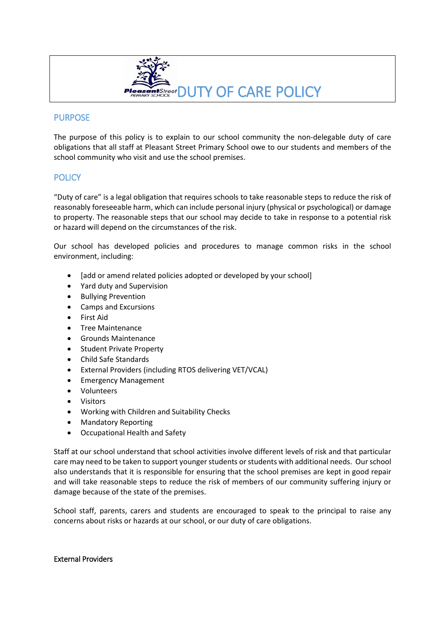

### PURPOSE

The purpose of this policy is to explain to our school community the non-delegable duty of care obligations that all staff at Pleasant Street Primary School owe to our students and members of the school community who visit and use the school premises.

## **POLICY**

"Duty of care" is a legal obligation that requires schools to take reasonable steps to reduce the risk of reasonably foreseeable harm, which can include personal injury (physical or psychological) or damage to property. The reasonable steps that our school may decide to take in response to a potential risk or hazard will depend on the circumstances of the risk.

Our school has developed policies and procedures to manage common risks in the school environment, including:

- [add or amend related policies adopted or developed by your school]
- Yard duty and Supervision
- Bullying Prevention
- Camps and Excursions
- First Aid
- **•** Tree Maintenance
- Grounds Maintenance
- Student Private Property
- Child Safe Standards
- External Providers (including RTOS delivering VET/VCAL)
- Emergency Management
- Volunteers
- Visitors
- Working with Children and Suitability Checks
- Mandatory Reporting
- Occupational Health and Safety

Staff at our school understand that school activities involve different levels of risk and that particular care may need to be taken to support younger students or students with additional needs. Our school also understands that it is responsible for ensuring that the school premises are kept in good repair and will take reasonable steps to reduce the risk of members of our community suffering injury or damage because of the state of the premises.

School staff, parents, carers and students are encouraged to speak to the principal to raise any concerns about risks or hazards at our school, or our duty of care obligations.

#### External Providers